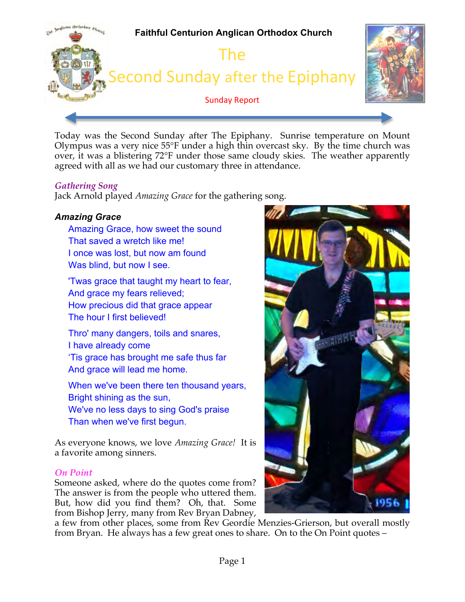

Today was the Second Sunday after The Epiphany. Sunrise temperature on Mount Olympus was a very nice 55°F under a high thin overcast sky. By the time church was over, it was a blistering 72°F under those same cloudy skies. The weather apparently agreed with all as we had our customary three in attendance.

### *Gathering Song*

Jack Arnold played *Amazing Grace* for the gathering song.

# *Amazing Grace*

Amazing Grace, how sweet the sound That saved a wretch like me! I once was lost, but now am found Was blind, but now I see.

'Twas grace that taught my heart to fear, And grace my fears relieved; How precious did that grace appear The hour I first believed!

Thro' many dangers, toils and snares, I have already come 'Tis grace has brought me safe thus far And grace will lead me home.

When we've been there ten thousand years, Bright shining as the sun, We've no less days to sing God's praise Than when we've first begun.

As everyone knows, we love *Amazing Grace!* It is a favorite among sinners.

#### *On Point*

Someone asked, where do the quotes come from? The answer is from the people who uttered them. But, how did you find them? Oh, that. Some from Bishop Jerry, many from Rev Bryan Dabney,



a few from other places, some from Rev Geordie Menzies-Grierson, but overall mostly from Bryan. He always has a few great ones to share. On to the On Point quotes –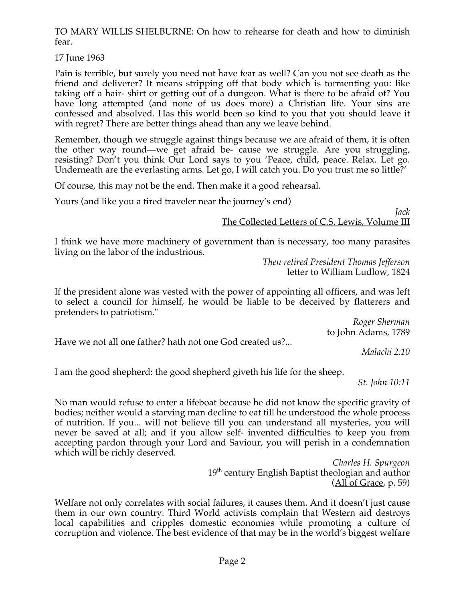TO MARY WILLIS SHELBURNE: On how to rehearse for death and how to diminish fear.

17 June 1963

Pain is terrible, but surely you need not have fear as well? Can you not see death as the friend and deliverer? It means stripping off that body which is tormenting you: like taking off a hair- shirt or getting out of a dungeon. What is there to be afraid of? You have long attempted (and none of us does more) a Christian life. Your sins are confessed and absolved. Has this world been so kind to you that you should leave it with regret? There are better things ahead than any we leave behind.

Remember, though we struggle against things because we are afraid of them, it is often the other way round—we get afraid be- cause we struggle. Are you struggling, resisting? Don't you think Our Lord says to you 'Peace, child, peace. Relax. Let go. Underneath are the everlasting arms. Let go, I will catch you. Do you trust me so little?'

Of course, this may not be the end. Then make it a good rehearsal.

Yours (and like you a tired traveler near the journey's end)

*Jack* The Collected Letters of C.S. Lewis, Volume III

I think we have more machinery of government than is necessary, too many parasites living on the labor of the industrious.

*Then retired President Thomas Jefferson* letter to William Ludlow, 1824

If the president alone was vested with the power of appointing all officers, and was left to select a council for himself, he would be liable to be deceived by flatterers and pretenders to patriotism."

*Roger Sherman* to John Adams, 1789

Have we not all one father? hath not one God created us?...

*Malachi 2:10*

I am the good shepherd: the good shepherd giveth his life for the sheep.

*St. John 10:11*

No man would refuse to enter a lifeboat because he did not know the specific gravity of bodies; neither would a starving man decline to eat till he understood the whole process of nutrition. If you... will not believe till you can understand all mysteries, you will never be saved at all; and if you allow self- invented difficulties to keep you from accepting pardon through your Lord and Saviour, you will perish in a condemnation which will be richly deserved.

> *Charles H. Spurgeon* 19<sup>th</sup> century English Baptist theologian and author (All of Grace, p. 59)

Welfare not only correlates with social failures, it causes them. And it doesn't just cause them in our own country. Third World activists complain that Western aid destroys local capabilities and cripples domestic economies while promoting a culture of corruption and violence. The best evidence of that may be in the world's biggest welfare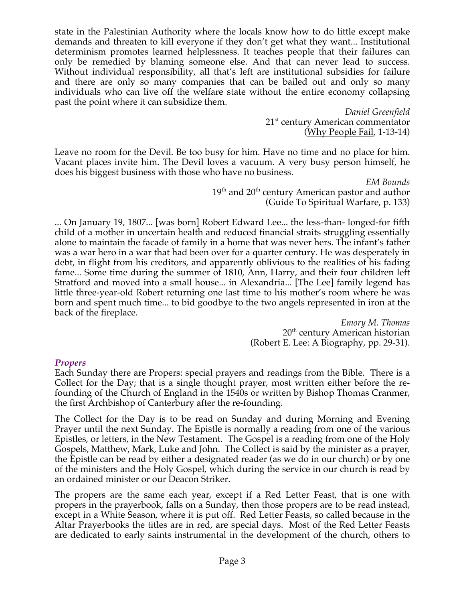state in the Palestinian Authority where the locals know how to do little except make demands and threaten to kill everyone if they don't get what they want... Institutional determinism promotes learned helplessness. It teaches people that their failures can only be remedied by blaming someone else. And that can never lead to success. Without individual responsibility, all that's left are institutional subsidies for failure and there are only so many companies that can be bailed out and only so many individuals who can live off the welfare state without the entire economy collapsing past the point where it can subsidize them.

*Daniel Greenfield* 21<sup>st</sup> century American commentator (Why People Fail, 1-13-14)

Leave no room for the Devil. Be too busy for him. Have no time and no place for him. Vacant places invite him. The Devil loves a vacuum. A very busy person himself, he does his biggest business with those who have no business.

*EM Bounds*  $19<sup>th</sup>$  and  $20<sup>th</sup>$  century American pastor and author (Guide To Spiritual Warfare, p. 133)

... On January 19, 1807... [was born] Robert Edward Lee... the less-than- longed-for fifth child of a mother in uncertain health and reduced financial straits struggling essentially alone to maintain the facade of family in a home that was never hers. The infant's father was a war hero in a war that had been over for a quarter century. He was desperately in debt, in flight from his creditors, and apparently oblivious to the realities of his fading fame... Some time during the summer of 1810, Ann, Harry, and their four children left Stratford and moved into a small house... in Alexandria... [The Lee] family legend has little three-year-old Robert returning one last time to his mother's room where he was born and spent much time... to bid goodbye to the two angels represented in iron at the back of the fireplace.

> *Emory M. Thomas* 20<sup>th</sup> century American historian (Robert E. Lee: A Biography, pp. 29-31).

#### *Propers*

Each Sunday there are Propers: special prayers and readings from the Bible. There is a Collect for the Day; that is a single thought prayer, most written either before the refounding of the Church of England in the 1540s or written by Bishop Thomas Cranmer, the first Archbishop of Canterbury after the re-founding.

The Collect for the Day is to be read on Sunday and during Morning and Evening Prayer until the next Sunday. The Epistle is normally a reading from one of the various Epistles, or letters, in the New Testament. The Gospel is a reading from one of the Holy Gospels, Matthew, Mark, Luke and John. The Collect is said by the minister as a prayer, the Epistle can be read by either a designated reader (as we do in our church) or by one of the ministers and the Holy Gospel, which during the service in our church is read by an ordained minister or our Deacon Striker.

The propers are the same each year, except if a Red Letter Feast, that is one with propers in the prayerbook, falls on a Sunday, then those propers are to be read instead, except in a White Season, where it is put off. Red Letter Feasts, so called because in the Altar Prayerbooks the titles are in red, are special days. Most of the Red Letter Feasts are dedicated to early saints instrumental in the development of the church, others to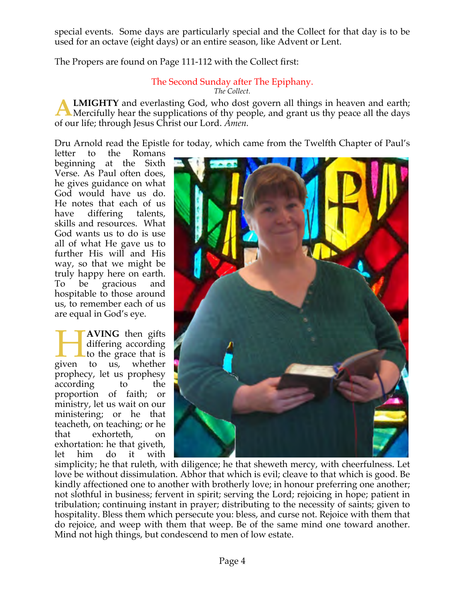special events. Some days are particularly special and the Collect for that day is to be used for an octave (eight days) or an entire season, like Advent or Lent.

The Propers are found on Page 111-112 with the Collect first:

#### The Second Sunday after The Epiphany. *The Collect.*

**LMIGHTY** and everlasting God, who dost govern all things in heaven and earth; Mercifully hear the supplications of thy people, and grant us thy peace all the days of our life; through Jesus Christ our Lord. *Amen.* **A**

Dru Arnold read the Epistle for today, which came from the Twelfth Chapter of Paul's

letter to the Romans beginning at the Sixth Verse. As Paul often does, he gives guidance on what God would have us do. He notes that each of us have differing talents, skills and resources. What God wants us to do is use all of what He gave us to further His will and His way, so that we might be truly happy here on earth. To be gracious and hospitable to those around us, to remember each of us are equal in God's eye.

**AVING** then gifts differing according to the grace that is to us, whether prophecy, let us prophesy according to the proportion of faith; or ministry, let us wait on our ministering; or he that teacheth, on teaching; or he that exhorteth, on exhortation: he that giveth,<br>let him do it with let him do it given



simplicity; he that ruleth, with diligence; he that sheweth mercy, with cheerfulness. Let love be without dissimulation. Abhor that which is evil; cleave to that which is good. Be kindly affectioned one to another with brotherly love; in honour preferring one another; not slothful in business; fervent in spirit; serving the Lord; rejoicing in hope; patient in tribulation; continuing instant in prayer; distributing to the necessity of saints; given to hospitality. Bless them which persecute you: bless, and curse not. Rejoice with them that do rejoice, and weep with them that weep. Be of the same mind one toward another. Mind not high things, but condescend to men of low estate.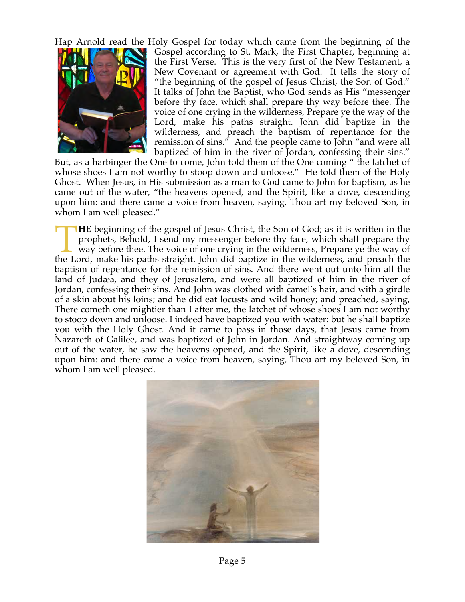Hap Arnold read the Holy Gospel for today which came from the beginning of the



Gospel according to St. Mark, the First Chapter, beginning at the First Verse. This is the very first of the New Testament, a New Covenant or agreement with God. It tells the story of "the beginning of the gospel of Jesus Christ, the Son of God." It talks of John the Baptist, who God sends as His "messenger before thy face, which shall prepare thy way before thee. The voice of one crying in the wilderness, Prepare ye the way of the Lord, make his paths straight. John did baptize in the wilderness, and preach the baptism of repentance for the remission of sins." And the people came to John "and were all baptized of him in the river of Jordan, confessing their sins."

But, as a harbinger the One to come, John told them of the One coming " the latchet of whose shoes I am not worthy to stoop down and unloose." He told them of the Holy Ghost. When Jesus, in His submission as a man to God came to John for baptism, as he came out of the water, "the heavens opened, and the Spirit, like a dove, descending upon him: and there came a voice from heaven, saying, Thou art my beloved Son, in whom I am well pleased."

**HE** beginning of the gospel of Jesus Christ, the Son of God; as it is written in the prophets, Behold, I send my messenger before thy face, which shall prepare thy way before thee. The voice of one crying in the wilderness, Prepare ye the way of **THE** beginning of the gospel of Jesus Christ, the Son of God; as it is written in the prophets, Behold, I send my messenger before thy face, which shall prepare thy way before thee. The voice of one crying in the wilderne baptism of repentance for the remission of sins. And there went out unto him all the land of Judæa, and they of Jerusalem, and were all baptized of him in the river of Jordan, confessing their sins. And John was clothed with camel's hair, and with a girdle of a skin about his loins; and he did eat locusts and wild honey; and preached, saying, There cometh one mightier than I after me, the latchet of whose shoes I am not worthy to stoop down and unloose. I indeed have baptized you with water: but he shall baptize you with the Holy Ghost. And it came to pass in those days, that Jesus came from Nazareth of Galilee, and was baptized of John in Jordan. And straightway coming up out of the water, he saw the heavens opened, and the Spirit, like a dove, descending upon him: and there came a voice from heaven, saying, Thou art my beloved Son, in whom I am well pleased.

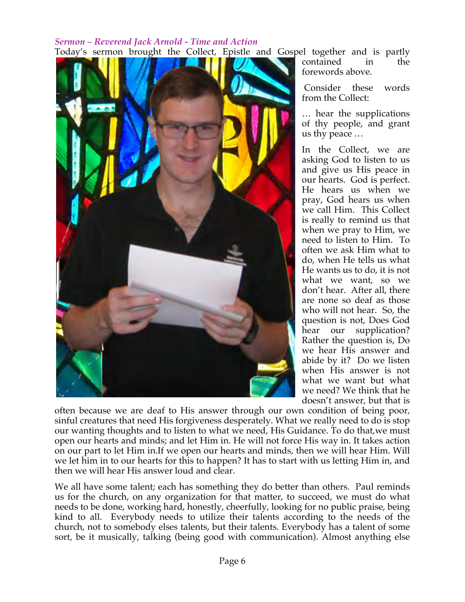### *Sermon – Reverend Jack Arnold - Time and Action* Today's sermon brought the Collect, Epistle and Gospel together and is partly



contained in the forewords above.

Consider these words from the Collect:

… hear the supplications of thy people, and grant us thy peace …

In the Collect, we are asking God to listen to us and give us His peace in our hearts. God is perfect. He hears us when we pray, God hears us when we call Him. This Collect is really to remind us that when we pray to Him, we need to listen to Him. To often we ask Him what to do, when He tells us what He wants us to do, it is not what we want, so we don't hear. After all, there are none so deaf as those who will not hear. So, the question is not, Does God hear our supplication? Rather the question is, Do we hear His answer and abide by it? Do we listen when His answer is not what we want but what we need? We think that he doesn't answer, but that is

often because we are deaf to His answer through our own condition of being poor, sinful creatures that need His forgiveness desperately. What we really need to do is stop our wanting thoughts and to listen to what we need, His Guidance. To do that,we must open our hearts and minds; and let Him in. He will not force His way in. It takes action on our part to let Him in.If we open our hearts and minds, then we will hear Him. Will we let him in to our hearts for this to happen? It has to start with us letting Him in, and then we will hear His answer loud and clear.

We all have some talent; each has something they do better than others. Paul reminds us for the church, on any organization for that matter, to succeed, we must do what needs to be done, working hard, honestly, cheerfully, looking for no public praise, being kind to all. Everybody needs to utilize their talents according to the needs of the church, not to somebody elses talents, but their talents. Everybody has a talent of some sort, be it musically, talking (being good with communication). Almost anything else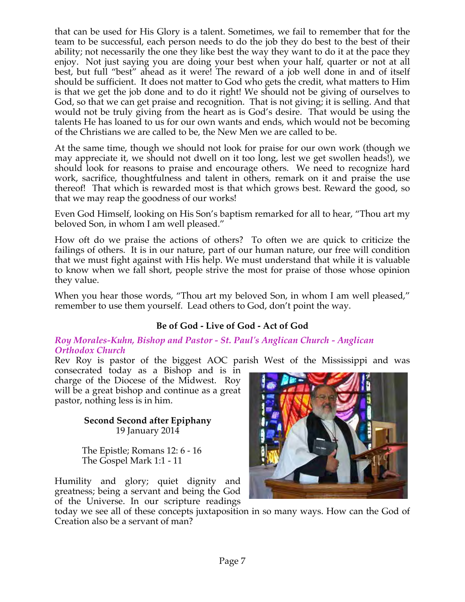that can be used for His Glory is a talent. Sometimes, we fail to remember that for the team to be successful, each person needs to do the job they do best to the best of their ability; not necessarily the one they like best the way they want to do it at the pace they enjoy. Not just saying you are doing your best when your half, quarter or not at all best, but full "best" ahead as it were! The reward of a job well done in and of itself should be sufficient. It does not matter to God who gets the credit, what matters to Him is that we get the job done and to do it right! We should not be giving of ourselves to God, so that we can get praise and recognition. That is not giving; it is selling. And that would not be truly giving from the heart as is God's desire. That would be using the talents He has loaned to us for our own wants and ends, which would not be becoming of the Christians we are called to be, the New Men we are called to be.

At the same time, though we should not look for praise for our own work (though we may appreciate it, we should not dwell on it too long, lest we get swollen heads!), we should look for reasons to praise and encourage others. We need to recognize hard work, sacrifice, thoughtfulness and talent in others, remark on it and praise the use thereof! That which is rewarded most is that which grows best. Reward the good, so that we may reap the goodness of our works!

Even God Himself, looking on His Son's baptism remarked for all to hear, "Thou art my beloved Son, in whom I am well pleased."

How oft do we praise the actions of others? To often we are quick to criticize the failings of others. It is in our nature, part of our human nature, our free will condition that we must fight against with His help. We must understand that while it is valuable to know when we fall short, people strive the most for praise of those whose opinion they value.

When you hear those words, "Thou art my beloved Son, in whom I am well pleased," remember to use them yourself. Lead others to God, don't point the way.

# **Be of God - Live of God - Act of God**

#### *Roy Morales-Kuhn, Bishop and Pastor - St. Paul's Anglican Church - Anglican Orthodox Church*

Rev Roy is pastor of the biggest AOC parish West of the Mississippi and was

consecrated today as a Bishop and is in charge of the Diocese of the Midwest. Roy will be a great bishop and continue as a great pastor, nothing less is in him.

> **Second Second after Epiphany** 19 January 2014

The Epistle; Romans 12: 6 - 16 The Gospel Mark 1:1 - 11

Humility and glory; quiet dignity and greatness; being a servant and being the God of the Universe. In our scripture readings

today we see all of these concepts juxtaposition in so many ways. How can the God of Creation also be a servant of man?

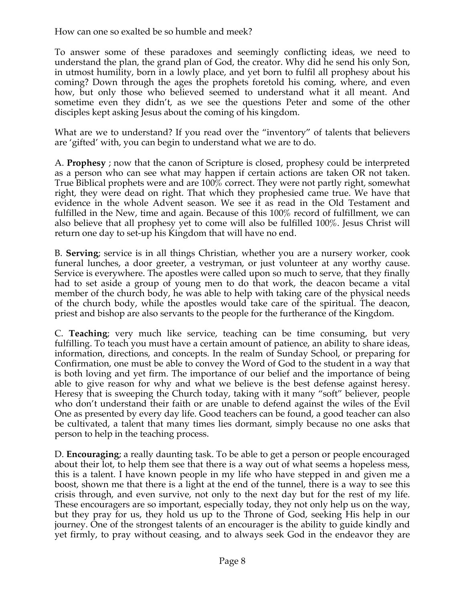How can one so exalted be so humble and meek?

To answer some of these paradoxes and seemingly conflicting ideas, we need to understand the plan, the grand plan of God, the creator. Why did he send his only Son, in utmost humility, born in a lowly place, and yet born to fulfil all prophesy about his coming? Down through the ages the prophets foretold his coming, where, and even how, but only those who believed seemed to understand what it all meant. And sometime even they didn't, as we see the questions Peter and some of the other disciples kept asking Jesus about the coming of his kingdom.

What are we to understand? If you read over the "inventory" of talents that believers are 'gifted' with, you can begin to understand what we are to do.

A. **Prophesy** ; now that the canon of Scripture is closed, prophesy could be interpreted as a person who can see what may happen if certain actions are taken OR not taken. True Biblical prophets were and are 100% correct. They were not partly right, somewhat right, they were dead on right. That which they prophesied came true. We have that evidence in the whole Advent season. We see it as read in the Old Testament and fulfilled in the New, time and again. Because of this 100% record of fulfillment, we can also believe that all prophesy yet to come will also be fulfilled 100%. Jesus Christ will return one day to set-up his Kingdom that will have no end.

B. **Serving**; service is in all things Christian, whether you are a nursery worker, cook funeral lunches, a door greeter, a vestryman, or just volunteer at any worthy cause. Service is everywhere. The apostles were called upon so much to serve, that they finally had to set aside a group of young men to do that work, the deacon became a vital member of the church body, he was able to help with taking care of the physical needs of the church body, while the apostles would take care of the spiritual. The deacon, priest and bishop are also servants to the people for the furtherance of the Kingdom.

C. **Teaching**; very much like service, teaching can be time consuming, but very fulfilling. To teach you must have a certain amount of patience, an ability to share ideas, information, directions, and concepts. In the realm of Sunday School, or preparing for Confirmation, one must be able to convey the Word of God to the student in a way that is both loving and yet firm. The importance of our belief and the importance of being able to give reason for why and what we believe is the best defense against heresy. Heresy that is sweeping the Church today, taking with it many "soft" believer, people who don't understand their faith or are unable to defend against the wiles of the Evil One as presented by every day life. Good teachers can be found, a good teacher can also be cultivated, a talent that many times lies dormant, simply because no one asks that person to help in the teaching process.

D. **Encouraging**; a really daunting task. To be able to get a person or people encouraged about their lot, to help them see that there is a way out of what seems a hopeless mess, this is a talent. I have known people in my life who have stepped in and given me a boost, shown me that there is a light at the end of the tunnel, there is a way to see this crisis through, and even survive, not only to the next day but for the rest of my life. These encouragers are so important, especially today, they not only help us on the way, but they pray for us, they hold us up to the Throne of God, seeking His help in our journey. One of the strongest talents of an encourager is the ability to guide kindly and yet firmly, to pray without ceasing, and to always seek God in the endeavor they are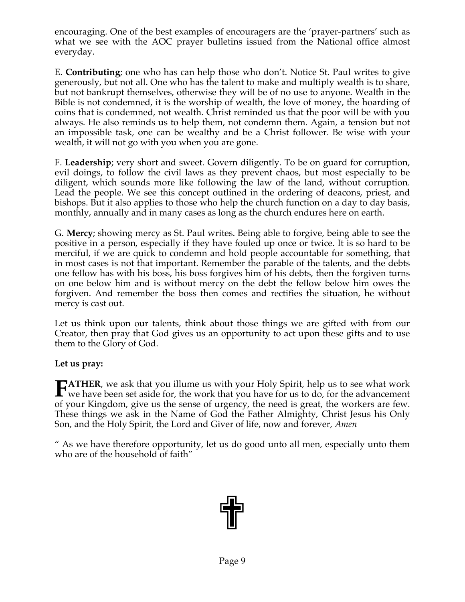encouraging. One of the best examples of encouragers are the 'prayer-partners' such as what we see with the AOC prayer bulletins issued from the National office almost everyday.

E. **Contributing**; one who has can help those who don't. Notice St. Paul writes to give generously, but not all. One who has the talent to make and multiply wealth is to share, but not bankrupt themselves, otherwise they will be of no use to anyone. Wealth in the Bible is not condemned, it is the worship of wealth, the love of money, the hoarding of coins that is condemned, not wealth. Christ reminded us that the poor will be with you always. He also reminds us to help them, not condemn them. Again, a tension but not an impossible task, one can be wealthy and be a Christ follower. Be wise with your wealth, it will not go with you when you are gone.

F. **Leadership**; very short and sweet. Govern diligently. To be on guard for corruption, evil doings, to follow the civil laws as they prevent chaos, but most especially to be diligent, which sounds more like following the law of the land, without corruption. Lead the people. We see this concept outlined in the ordering of deacons, priest, and bishops. But it also applies to those who help the church function on a day to day basis, monthly, annually and in many cases as long as the church endures here on earth.

G. **Mercy**; showing mercy as St. Paul writes. Being able to forgive, being able to see the positive in a person, especially if they have fouled up once or twice. It is so hard to be merciful, if we are quick to condemn and hold people accountable for something, that in most cases is not that important. Remember the parable of the talents, and the debts one fellow has with his boss, his boss forgives him of his debts, then the forgiven turns on one below him and is without mercy on the debt the fellow below him owes the forgiven. And remember the boss then comes and rectifies the situation, he without mercy is cast out.

Let us think upon our talents, think about those things we are gifted with from our Creator, then pray that God gives us an opportunity to act upon these gifts and to use them to the Glory of God.

**Let us pray:** 

**ATHER**, we ask that you illume us with your Holy Spirit, help us to see what work **FATHER**, we ask that you illume us with your Holy Spirit, help us to see what work we have been set aside for, the work that you have for us to do, for the advancement of your Kingdom, give us the sense of urgency, the need is great, the workers are few. These things we ask in the Name of God the Father Almighty, Christ Jesus his Only Son, and the Holy Spirit, the Lord and Giver of life, now and forever, *Amen*

" As we have therefore opportunity, let us do good unto all men, especially unto them who are of the household of faith"

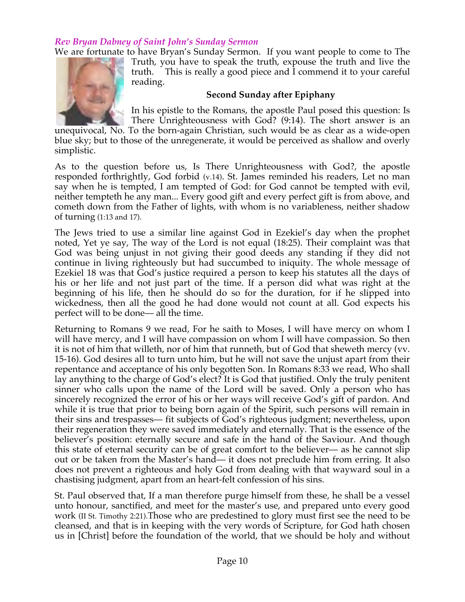### *Rev Bryan Dabney of Saint John's Sunday Sermon*

We are fortunate to have Bryan's Sunday Sermon. If you want people to come to The



Truth, you have to speak the truth, expouse the truth and live the truth. This is really a good piece and I commend it to your careful reading.

#### **Second Sunday after Epiphany**

In his epistle to the Romans, the apostle Paul posed this question: Is There Unrighteousness with God? (9:14). The short answer is an

unequivocal, No. To the born-again Christian, such would be as clear as a wide-open blue sky; but to those of the unregenerate, it would be perceived as shallow and overly simplistic.

As to the question before us, Is There Unrighteousness with God?, the apostle responded forthrightly, God forbid (v.14). St. James reminded his readers, Let no man say when he is tempted, I am tempted of God: for God cannot be tempted with evil, neither tempteth he any man... Every good gift and every perfect gift is from above, and cometh down from the Father of lights, with whom is no variableness, neither shadow of turning (1:13 and 17).

The Jews tried to use a similar line against God in Ezekiel's day when the prophet noted, Yet ye say, The way of the Lord is not equal (18:25). Their complaint was that God was being unjust in not giving their good deeds any standing if they did not continue in living righteously but had succumbed to iniquity. The whole message of Ezekiel 18 was that God's justice required a person to keep his statutes all the days of his or her life and not just part of the time. If a person did what was right at the beginning of his life, then he should do so for the duration, for if he slipped into wickedness, then all the good he had done would not count at all. God expects his perfect will to be done— all the time.

Returning to Romans 9 we read, For he saith to Moses, I will have mercy on whom I will have mercy, and I will have compassion on whom I will have compassion. So then it is not of him that willeth, nor of him that runneth, but of God that sheweth mercy (vv. 15-16). God desires all to turn unto him, but he will not save the unjust apart from their repentance and acceptance of his only begotten Son. In Romans 8:33 we read, Who shall lay anything to the charge of God's elect? It is God that justified. Only the truly penitent sinner who calls upon the name of the Lord will be saved. Only a person who has sincerely recognized the error of his or her ways will receive God's gift of pardon. And while it is true that prior to being born again of the Spirit, such persons will remain in their sins and trespasses— fit subjects of God's righteous judgment; nevertheless, upon their regeneration they were saved immediately and eternally. That is the essence of the believer's position: eternally secure and safe in the hand of the Saviour. And though this state of eternal security can be of great comfort to the believer— as he cannot slip out or be taken from the Master's hand— it does not preclude him from erring. It also does not prevent a righteous and holy God from dealing with that wayward soul in a chastising judgment, apart from an heart-felt confession of his sins.

St. Paul observed that, If a man therefore purge himself from these, he shall be a vessel unto honour, sanctified, and meet for the master's use, and prepared unto every good work (II St. Timothy 2:21).Those who are predestined to glory must first see the need to be cleansed, and that is in keeping with the very words of Scripture, for God hath chosen us in [Christ] before the foundation of the world, that we should be holy and without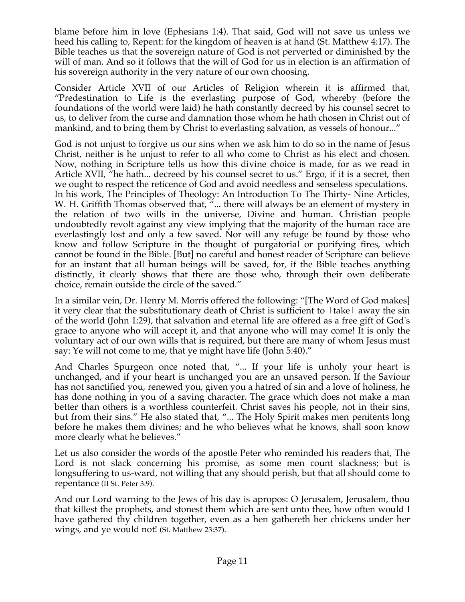blame before him in love (Ephesians 1:4). That said, God will not save us unless we heed his calling to, Repent: for the kingdom of heaven is at hand (St. Matthew 4:17). The Bible teaches us that the sovereign nature of God is not perverted or diminished by the will of man. And so it follows that the will of God for us in election is an affirmation of his sovereign authority in the very nature of our own choosing.

Consider Article XVII of our Articles of Religion wherein it is affirmed that, "Predestination to Life is the everlasting purpose of God, whereby (before the foundations of the world were laid) he hath constantly decreed by his counsel secret to us, to deliver from the curse and damnation those whom he hath chosen in Christ out of mankind, and to bring them by Christ to everlasting salvation, as vessels of honour..."

God is not unjust to forgive us our sins when we ask him to do so in the name of Jesus Christ, neither is he unjust to refer to all who come to Christ as his elect and chosen. Now, nothing in Scripture tells us how this divine choice is made, for as we read in Article XVII, "he hath... decreed by his counsel secret to us." Ergo, if it is a secret, then we ought to respect the reticence of God and avoid needless and senseless speculations. In his work, The Principles of Theology: An Introduction To The Thirty- Nine Articles, W. H. Griffith Thomas observed that, "... there will always be an element of mystery in the relation of two wills in the universe, Divine and human. Christian people undoubtedly revolt against any view implying that the majority of the human race are everlastingly lost and only a few saved. Nor will any refuge be found by those who know and follow Scripture in the thought of purgatorial or purifying fires, which cannot be found in the Bible. [But] no careful and honest reader of Scripture can believe for an instant that all human beings will be saved, for, if the Bible teaches anything distinctly, it clearly shows that there are those who, through their own deliberate choice, remain outside the circle of the saved."

In a similar vein, Dr. Henry M. Morris offered the following: "[The Word of God makes] it very clear that the substitutionary death of Christ is sufficient to  $|\text{take}|$  away the sin of the world (John 1:29), that salvation and eternal life are offered as a free gift of God's grace to anyone who will accept it, and that anyone who will may come! It is only the voluntary act of our own wills that is required, but there are many of whom Jesus must say: Ye will not come to me, that ye might have life (John 5:40)."

And Charles Spurgeon once noted that, "... If your life is unholy your heart is unchanged, and if your heart is unchanged you are an unsaved person. If the Saviour has not sanctified you, renewed you, given you a hatred of sin and a love of holiness, he has done nothing in you of a saving character. The grace which does not make a man better than others is a worthless counterfeit. Christ saves his people, not in their sins, but from their sins." He also stated that, "... The Holy Spirit makes men penitents long before he makes them divines; and he who believes what he knows, shall soon know more clearly what he believes."

Let us also consider the words of the apostle Peter who reminded his readers that, The Lord is not slack concerning his promise, as some men count slackness; but is longsuffering to us-ward, not willing that any should perish, but that all should come to repentance (II St. Peter 3:9).

And our Lord warning to the Jews of his day is apropos: O Jerusalem, Jerusalem, thou that killest the prophets, and stonest them which are sent unto thee, how often would I have gathered thy children together, even as a hen gathereth her chickens under her wings, and ye would not! (St. Matthew 23:37).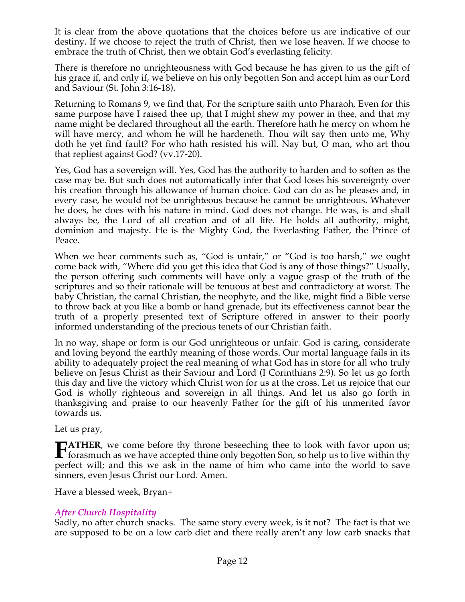It is clear from the above quotations that the choices before us are indicative of our destiny. If we choose to reject the truth of Christ, then we lose heaven. If we choose to embrace the truth of Christ, then we obtain God's everlasting felicity.

There is therefore no unrighteousness with God because he has given to us the gift of his grace if, and only if, we believe on his only begotten Son and accept him as our Lord and Saviour (St. John 3:16-18).

Returning to Romans 9, we find that, For the scripture saith unto Pharaoh, Even for this same purpose have I raised thee up, that I might shew my power in thee, and that my name might be declared throughout all the earth. Therefore hath he mercy on whom he will have mercy, and whom he will he hardeneth. Thou wilt say then unto me, Why doth he yet find fault? For who hath resisted his will. Nay but, O man, who art thou that repliest against God? (vv.17-20).

Yes, God has a sovereign will. Yes, God has the authority to harden and to soften as the case may be. But such does not automatically infer that God loses his sovereignty over his creation through his allowance of human choice. God can do as he pleases and, in every case, he would not be unrighteous because he cannot be unrighteous. Whatever he does, he does with his nature in mind. God does not change. He was, is and shall always be, the Lord of all creation and of all life. He holds all authority, might, dominion and majesty. He is the Mighty God, the Everlasting Father, the Prince of Peace.

When we hear comments such as, "God is unfair," or "God is too harsh," we ought come back with, "Where did you get this idea that God is any of those things?" Usually, the person offering such comments will have only a vague grasp of the truth of the scriptures and so their rationale will be tenuous at best and contradictory at worst. The baby Christian, the carnal Christian, the neophyte, and the like, might find a Bible verse to throw back at you like a bomb or hand grenade, but its effectiveness cannot bear the truth of a properly presented text of Scripture offered in answer to their poorly informed understanding of the precious tenets of our Christian faith.

In no way, shape or form is our God unrighteous or unfair. God is caring, considerate and loving beyond the earthly meaning of those words. Our mortal language fails in its ability to adequately project the real meaning of what God has in store for all who truly believe on Jesus Christ as their Saviour and Lord (I Corinthians 2:9). So let us go forth this day and live the victory which Christ won for us at the cross. Let us rejoice that our God is wholly righteous and sovereign in all things. And let us also go forth in thanksgiving and praise to our heavenly Father for the gift of his unmerited favor towards us.

Let us pray,

**ATHER**, we come before thy throne beseeching thee to look with favor upon us; **forasmuch as we have accepted thine only begotten Son, so help us to live within thy**  $\mathbf{r}$  forasmuch as we have accepted thine only begotten Son, so help us to live within thy perfect will; and this we ask in the name of him who came into the world to save sinners, even Jesus Christ our Lord. Amen.

Have a blessed week, Bryan+

# *After Church Hospitality*

Sadly, no after church snacks. The same story every week, is it not? The fact is that we are supposed to be on a low carb diet and there really aren't any low carb snacks that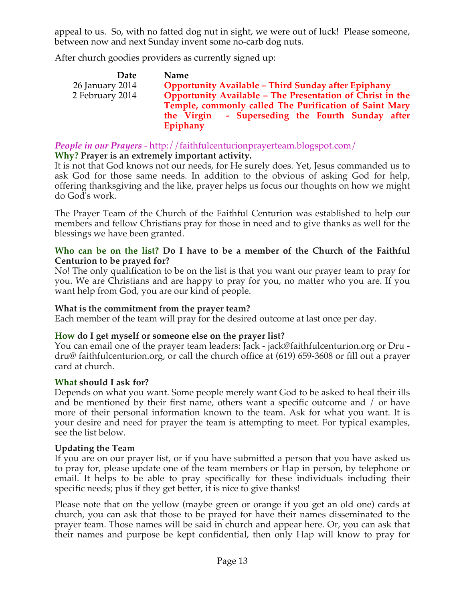appeal to us. So, with no fatted dog nut in sight, we were out of luck! Please someone, between now and next Sunday invent some no-carb dog nuts.

After church goodies providers as currently signed up:

| Date            | <b>Name</b>                                                |
|-----------------|------------------------------------------------------------|
| 26 January 2014 | <b>Opportunity Available - Third Sunday after Epiphany</b> |
| 2 February 2014 | Opportunity Available - The Presentation of Christ in the  |
|                 | Temple, commonly called The Purification of Saint Mary     |
|                 | - Superseding the Fourth Sunday after<br>the Virgin        |
|                 | Epiphany                                                   |

*People in our Prayers* - http://faithfulcenturionprayerteam.blogspot.com/

# **Why? Prayer is an extremely important activity.**

It is not that God knows not our needs, for He surely does. Yet, Jesus commanded us to ask God for those same needs. In addition to the obvious of asking God for help, offering thanksgiving and the like, prayer helps us focus our thoughts on how we might do God's work.

The Prayer Team of the Church of the Faithful Centurion was established to help our members and fellow Christians pray for those in need and to give thanks as well for the blessings we have been granted.

### **Who can be on the list? Do I have to be a member of the Church of the Faithful Centurion to be prayed for?**

No! The only qualification to be on the list is that you want our prayer team to pray for you. We are Christians and are happy to pray for you, no matter who you are. If you want help from God, you are our kind of people.

# **What is the commitment from the prayer team?**

Each member of the team will pray for the desired outcome at last once per day.

# **How do I get myself or someone else on the prayer list?**

You can email one of the prayer team leaders: Jack - jack@faithfulcenturion.org or Dru dru@ faithfulcenturion.org, or call the church office at (619) 659-3608 or fill out a prayer card at church.

# **What should I ask for?**

Depends on what you want. Some people merely want God to be asked to heal their ills and be mentioned by their first name, others want a specific outcome and / or have more of their personal information known to the team. Ask for what you want. It is your desire and need for prayer the team is attempting to meet. For typical examples, see the list below.

# **Updating the Team**

If you are on our prayer list, or if you have submitted a person that you have asked us to pray for, please update one of the team members or Hap in person, by telephone or email. It helps to be able to pray specifically for these individuals including their specific needs; plus if they get better, it is nice to give thanks!

Please note that on the yellow (maybe green or orange if you get an old one) cards at church, you can ask that those to be prayed for have their names disseminated to the prayer team. Those names will be said in church and appear here. Or, you can ask that their names and purpose be kept confidential, then only Hap will know to pray for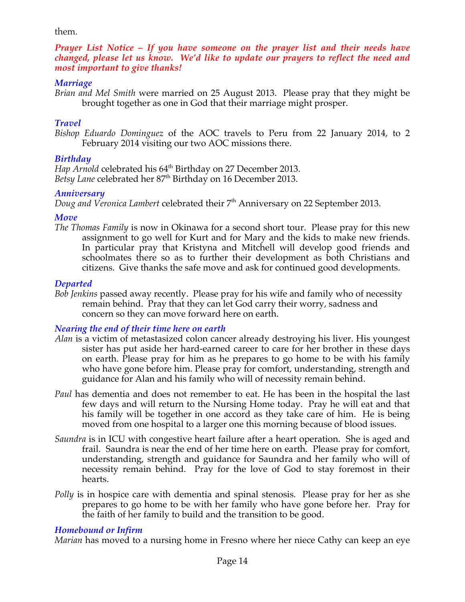#### them.

*Prayer List Notice – If you have someone on the prayer list and their needs have changed, please let us know. We'd like to update our prayers to reflect the need and most important to give thanks!*

#### *Marriage*

*Brian and Mel Smith* were married on 25 August 2013. Please pray that they might be brought together as one in God that their marriage might prosper.

### *Travel*

*Bishop Eduardo Dominguez* of the AOC travels to Peru from 22 January 2014, to 2 February 2014 visiting our two AOC missions there.

# *Birthday*

*Hap Arnold* celebrated his 64<sup>th</sup> Birthday on 27 December 2013. *Betsy Lane* celebrated her 87<sup>th</sup> Birthday on 16 December 2013.

### *Anniversary*

*Doug and Veronica Lambert celebrated their* 7<sup>th</sup> Anniversary on 22 September 2013.

### *Move*

*The Thomas Family* is now in Okinawa for a second short tour. Please pray for this new assignment to go well for Kurt and for Mary and the kids to make new friends. In particular pray that Kristyna and Mitchell will develop good friends and schoolmates there so as to further their development as both Christians and citizens. Give thanks the safe move and ask for continued good developments.

# *Departed*

*Bob Jenkins* passed away recently. Please pray for his wife and family who of necessity remain behind. Pray that they can let God carry their worry, sadness and concern so they can move forward here on earth.

# *Nearing the end of their time here on earth*

- *Alan* is a victim of metastasized colon cancer already destroying his liver. His youngest sister has put aside her hard-earned career to care for her brother in these days on earth. Please pray for him as he prepares to go home to be with his family who have gone before him. Please pray for comfort, understanding, strength and guidance for Alan and his family who will of necessity remain behind.
- *Paul* has dementia and does not remember to eat. He has been in the hospital the last few days and will return to the Nursing Home today. Pray he will eat and that his family will be together in one accord as they take care of him. He is being moved from one hospital to a larger one this morning because of blood issues.
- *Saundra* is in ICU with congestive heart failure after a heart operation. She is aged and frail. Saundra is near the end of her time here on earth. Please pray for comfort, understanding, strength and guidance for Saundra and her family who will of necessity remain behind. Pray for the love of God to stay foremost in their hearts.
- *Polly* is in hospice care with dementia and spinal stenosis. Please pray for her as she prepares to go home to be with her family who have gone before her. Pray for the faith of her family to build and the transition to be good.

# *Homebound or Infirm*

*Marian* has moved to a nursing home in Fresno where her niece Cathy can keep an eye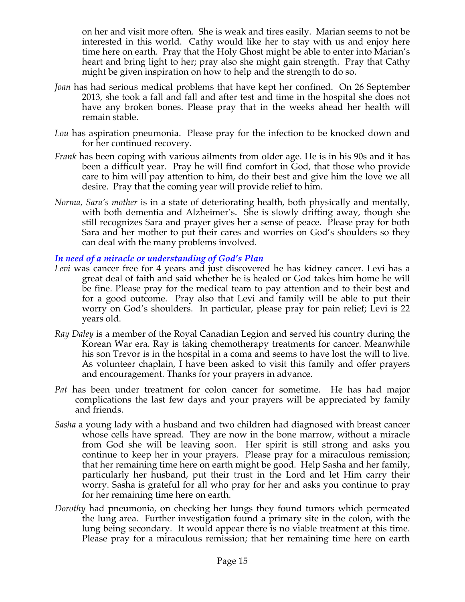on her and visit more often. She is weak and tires easily. Marian seems to not be interested in this world. Cathy would like her to stay with us and enjoy here time here on earth. Pray that the Holy Ghost might be able to enter into Marian's heart and bring light to her; pray also she might gain strength. Pray that Cathy might be given inspiration on how to help and the strength to do so.

- *Joan* has had serious medical problems that have kept her confined. On 26 September 2013, she took a fall and fall and after test and time in the hospital she does not have any broken bones. Please pray that in the weeks ahead her health will remain stable.
- *Lou* has aspiration pneumonia. Please pray for the infection to be knocked down and for her continued recovery.
- *Frank* has been coping with various ailments from older age. He is in his 90s and it has been a difficult year. Pray he will find comfort in God, that those who provide care to him will pay attention to him, do their best and give him the love we all desire. Pray that the coming year will provide relief to him.
- *Norma, Sara's mother* is in a state of deteriorating health, both physically and mentally, with both dementia and Alzheimer's. She is slowly drifting away, though she still recognizes Sara and prayer gives her a sense of peace. Please pray for both Sara and her mother to put their cares and worries on God's shoulders so they can deal with the many problems involved.

*In need of a miracle or understanding of God's Plan*

- Levi was cancer free for 4 years and just discovered he has kidney cancer. Levi has a great deal of faith and said whether he is healed or God takes him home he will be fine. Please pray for the medical team to pay attention and to their best and for a good outcome. Pray also that Levi and family will be able to put their worry on God's shoulders. In particular, please pray for pain relief; Levi is 22 years old.
- *Ray Daley* is a member of the Royal Canadian Legion and served his country during the Korean War era. Ray is taking chemotherapy treatments for cancer. Meanwhile his son Trevor is in the hospital in a coma and seems to have lost the will to live. As volunteer chaplain, I have been asked to visit this family and offer prayers and encouragement. Thanks for your prayers in advance*.*
- *Pat* has been under treatment for colon cancer for sometime. He has had major complications the last few days and your prayers will be appreciated by family and friends.
- *Sasha* a young lady with a husband and two children had diagnosed with breast cancer whose cells have spread. They are now in the bone marrow, without a miracle from God she will be leaving soon. Her spirit is still strong and asks you continue to keep her in your prayers. Please pray for a miraculous remission; that her remaining time here on earth might be good. Help Sasha and her family, particularly her husband, put their trust in the Lord and let Him carry their worry. Sasha is grateful for all who pray for her and asks you continue to pray for her remaining time here on earth.
- *Dorothy* had pneumonia, on checking her lungs they found tumors which permeated the lung area. Further investigation found a primary site in the colon, with the lung being secondary. It would appear there is no viable treatment at this time. Please pray for a miraculous remission; that her remaining time here on earth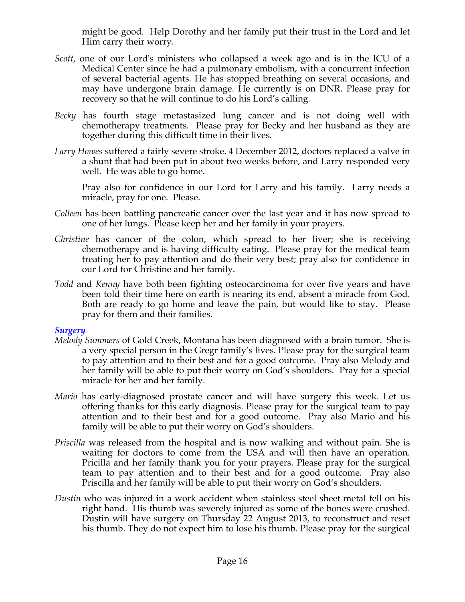might be good. Help Dorothy and her family put their trust in the Lord and let Him carry their worry.

- *Scott,* one of our Lord's ministers who collapsed a week ago and is in the ICU of a Medical Center since he had a pulmonary embolism, with a concurrent infection of several bacterial agents. He has stopped breathing on several occasions, and may have undergone brain damage. He currently is on DNR. Please pray for recovery so that he will continue to do his Lord's calling*.*
- *Becky* has fourth stage metastasized lung cancer and is not doing well with chemotherapy treatments. Please pray for Becky and her husband as they are together during this difficult time in their lives.
- *Larry Howes* suffered a fairly severe stroke. 4 December 2012, doctors replaced a valve in a shunt that had been put in about two weeks before, and Larry responded very well. He was able to go home.

Pray also for confidence in our Lord for Larry and his family. Larry needs a miracle, pray for one. Please.

- *Colleen* has been battling pancreatic cancer over the last year and it has now spread to one of her lungs. Please keep her and her family in your prayers.
- *Christine* has cancer of the colon, which spread to her liver; she is receiving chemotherapy and is having difficulty eating. Please pray for the medical team treating her to pay attention and do their very best; pray also for confidence in our Lord for Christine and her family.
- *Todd* and *Kenny* have both been fighting osteocarcinoma for over five years and have been told their time here on earth is nearing its end, absent a miracle from God. Both are ready to go home and leave the pain, but would like to stay. Please pray for them and their families.

#### *Surgery*

- *Melody Summers* of Gold Creek, Montana has been diagnosed with a brain tumor. She is a very special person in the Gregr family's lives. Please pray for the surgical team to pay attention and to their best and for a good outcome. Pray also Melody and her family will be able to put their worry on God's shoulders. Pray for a special miracle for her and her family.
- *Mario* has early-diagnosed prostate cancer and will have surgery this week. Let us offering thanks for this early diagnosis. Please pray for the surgical team to pay attention and to their best and for a good outcome. Pray also Mario and his family will be able to put their worry on God's shoulders.
- *Priscilla* was released from the hospital and is now walking and without pain. She is waiting for doctors to come from the USA and will then have an operation. Pricilla and her family thank you for your prayers. Please pray for the surgical team to pay attention and to their best and for a good outcome. Pray also Priscilla and her family will be able to put their worry on God's shoulders.
- *Dustin* who was injured in a work accident when stainless steel sheet metal fell on his right hand. His thumb was severely injured as some of the bones were crushed. Dustin will have surgery on Thursday 22 August 2013, to reconstruct and reset his thumb. They do not expect him to lose his thumb. Please pray for the surgical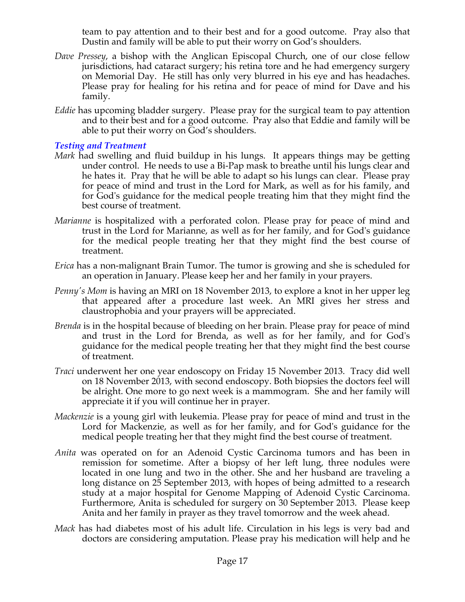team to pay attention and to their best and for a good outcome. Pray also that Dustin and family will be able to put their worry on God's shoulders.

- *Dave Pressey*, a bishop with the Anglican Episcopal Church, one of our close fellow jurisdictions, had cataract surgery; his retina tore and he had emergency surgery on Memorial Day. He still has only very blurred in his eye and has headaches. Please pray for healing for his retina and for peace of mind for Dave and his family.
- *Eddie* has upcoming bladder surgery. Please pray for the surgical team to pay attention and to their best and for a good outcome. Pray also that Eddie and family will be able to put their worry on God's shoulders.

# *Testing and Treatment*

- *Mark* had swelling and fluid buildup in his lungs. It appears things may be getting under control. He needs to use a Bi-Pap mask to breathe until his lungs clear and he hates it. Pray that he will be able to adapt so his lungs can clear. Please pray for peace of mind and trust in the Lord for Mark, as well as for his family, and for God's guidance for the medical people treating him that they might find the best course of treatment.
- *Marianne* is hospitalized with a perforated colon. Please pray for peace of mind and trust in the Lord for Marianne, as well as for her family, and for God's guidance for the medical people treating her that they might find the best course of treatment.
- *Erica* has a non-malignant Brain Tumor. The tumor is growing and she is scheduled for an operation in January. Please keep her and her family in your prayers.
- *Penny's Mom is having an MRI on 18 November 2013, to explore a knot in her upper leg* that appeared after a procedure last week. An MRI gives her stress and claustrophobia and your prayers will be appreciated.
- *Brenda* is in the hospital because of bleeding on her brain. Please pray for peace of mind and trust in the Lord for Brenda, as well as for her family, and for God's guidance for the medical people treating her that they might find the best course of treatment.
- *Traci* underwent her one year endoscopy on Friday 15 November 2013. Tracy did well on 18 November 2013, with second endoscopy. Both biopsies the doctors feel will be alright. One more to go next week is a mammogram. She and her family will appreciate it if you will continue her in prayer.
- *Mackenzie* is a young girl with leukemia. Please pray for peace of mind and trust in the Lord for Mackenzie, as well as for her family, and for God's guidance for the medical people treating her that they might find the best course of treatment.
- *Anita* was operated on for an Adenoid Cystic Carcinoma tumors and has been in remission for sometime. After a biopsy of her left lung, three nodules were located in one lung and two in the other. She and her husband are traveling a long distance on 25 September 2013, with hopes of being admitted to a research study at a major hospital for Genome Mapping of Adenoid Cystic Carcinoma. Furthermore, Anita is scheduled for surgery on 30 September 2013. Please keep Anita and her family in prayer as they travel tomorrow and the week ahead.
- *Mack* has had diabetes most of his adult life. Circulation in his legs is very bad and doctors are considering amputation. Please pray his medication will help and he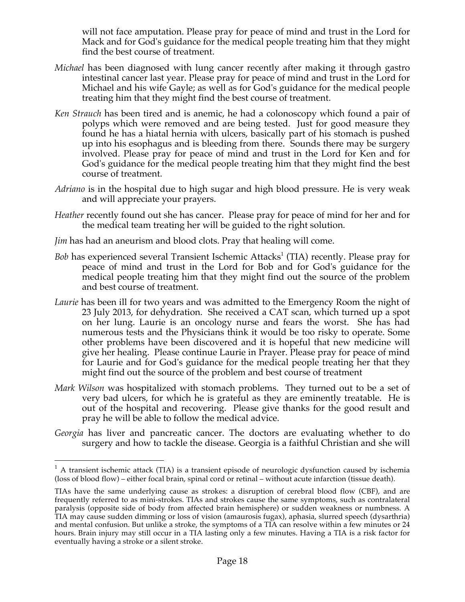will not face amputation. Please pray for peace of mind and trust in the Lord for Mack and for God's guidance for the medical people treating him that they might find the best course of treatment.

- *Michael* has been diagnosed with lung cancer recently after making it through gastro intestinal cancer last year. Please pray for peace of mind and trust in the Lord for Michael and his wife Gayle; as well as for God's guidance for the medical people treating him that they might find the best course of treatment.
- *Ken Strauch* has been tired and is anemic, he had a colonoscopy which found a pair of polyps which were removed and are being tested. Just for good measure they found he has a hiatal hernia with ulcers, basically part of his stomach is pushed up into his esophagus and is bleeding from there. Sounds there may be surgery involved. Please pray for peace of mind and trust in the Lord for Ken and for God's guidance for the medical people treating him that they might find the best course of treatment.
- *Adriano* is in the hospital due to high sugar and high blood pressure. He is very weak and will appreciate your prayers.
- *Heather* recently found out she has cancer. Please pray for peace of mind for her and for the medical team treating her will be guided to the right solution.
- *Jim* has had an aneurism and blood clots. Pray that healing will come.
- *Bob* has experienced several Transient Ischemic Attacks<sup>1</sup> (TIA) recently. Please pray for peace of mind and trust in the Lord for Bob and for God's guidance for the medical people treating him that they might find out the source of the problem and best course of treatment.
- *Laurie* has been ill for two years and was admitted to the Emergency Room the night of 23 July 2013, for dehydration. She received a CAT scan, which turned up a spot on her lung. Laurie is an oncology nurse and fears the worst. She has had numerous tests and the Physicians think it would be too risky to operate. Some other problems have been discovered and it is hopeful that new medicine will give her healing. Please continue Laurie in Prayer. Please pray for peace of mind for Laurie and for God's guidance for the medical people treating her that they might find out the source of the problem and best course of treatment
- *Mark Wilson* was hospitalized with stomach problems. They turned out to be a set of very bad ulcers, for which he is grateful as they are eminently treatable. He is out of the hospital and recovering. Please give thanks for the good result and pray he will be able to follow the medical advice.
- *Georgia* has liver and pancreatic cancer. The doctors are evaluating whether to do surgery and how to tackle the disease. Georgia is a faithful Christian and she will

 $1$  A transient ischemic attack (TIA) is a transient episode of neurologic dysfunction caused by ischemia (loss of blood flow) – either focal brain, spinal cord or retinal – without acute infarction (tissue death).

TIAs have the same underlying cause as strokes: a disruption of cerebral blood flow (CBF), and are frequently referred to as mini-strokes. TIAs and strokes cause the same symptoms, such as contralateral paralysis (opposite side of body from affected brain hemisphere) or sudden weakness or numbness. A TIA may cause sudden dimming or loss of vision (amaurosis fugax), aphasia, slurred speech (dysarthria) and mental confusion. But unlike a stroke, the symptoms of a TIA can resolve within a few minutes or 24 hours. Brain injury may still occur in a TIA lasting only a few minutes. Having a TIA is a risk factor for eventually having a stroke or a silent stroke.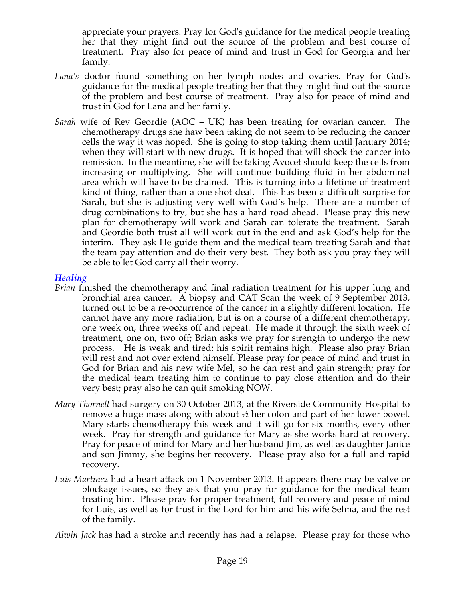appreciate your prayers. Pray for God's guidance for the medical people treating her that they might find out the source of the problem and best course of treatment. Pray also for peace of mind and trust in God for Georgia and her family.

- *Lana's* doctor found something on her lymph nodes and ovaries. Pray for God's guidance for the medical people treating her that they might find out the source of the problem and best course of treatment. Pray also for peace of mind and trust in God for Lana and her family.
- *Sarah* wife of Rev Geordie (AOC UK) has been treating for ovarian cancer. The chemotherapy drugs she haw been taking do not seem to be reducing the cancer cells the way it was hoped. She is going to stop taking them until January 2014; when they will start with new drugs. It is hoped that will shock the cancer into remission. In the meantime, she will be taking Avocet should keep the cells from increasing or multiplying. She will continue building fluid in her abdominal area which will have to be drained. This is turning into a lifetime of treatment kind of thing, rather than a one shot deal. This has been a difficult surprise for Sarah, but she is adjusting very well with God's help. There are a number of drug combinations to try, but she has a hard road ahead. Please pray this new plan for chemotherapy will work and Sarah can tolerate the treatment. Sarah and Geordie both trust all will work out in the end and ask God's help for the interim. They ask He guide them and the medical team treating Sarah and that the team pay attention and do their very best. They both ask you pray they will be able to let God carry all their worry.

#### *Healing*

- *Brian* finished the chemotherapy and final radiation treatment for his upper lung and bronchial area cancer. A biopsy and CAT Scan the week of 9 September 2013, turned out to be a re-occurrence of the cancer in a slightly different location. He cannot have any more radiation, but is on a course of a different chemotherapy, one week on, three weeks off and repeat. He made it through the sixth week of treatment, one on, two off; Brian asks we pray for strength to undergo the new process. He is weak and tired; his spirit remains high. Please also pray Brian will rest and not over extend himself. Please pray for peace of mind and trust in God for Brian and his new wife Mel, so he can rest and gain strength; pray for the medical team treating him to continue to pay close attention and do their very best; pray also he can quit smoking NOW.
- *Mary Thornell* had surgery on 30 October 2013, at the Riverside Community Hospital to remove a huge mass along with about ½ her colon and part of her lower bowel. Mary starts chemotherapy this week and it will go for six months, every other week. Pray for strength and guidance for Mary as she works hard at recovery. Pray for peace of mind for Mary and her husband Jim, as well as daughter Janice and son Jimmy, she begins her recovery. Please pray also for a full and rapid recovery.
- *Luis Martinez* had a heart attack on 1 November 2013. It appears there may be valve or blockage issues, so they ask that you pray for guidance for the medical team treating him. Please pray for proper treatment, full recovery and peace of mind for Luis, as well as for trust in the Lord for him and his wife Selma, and the rest of the family.

*Alwin Jack* has had a stroke and recently has had a relapse. Please pray for those who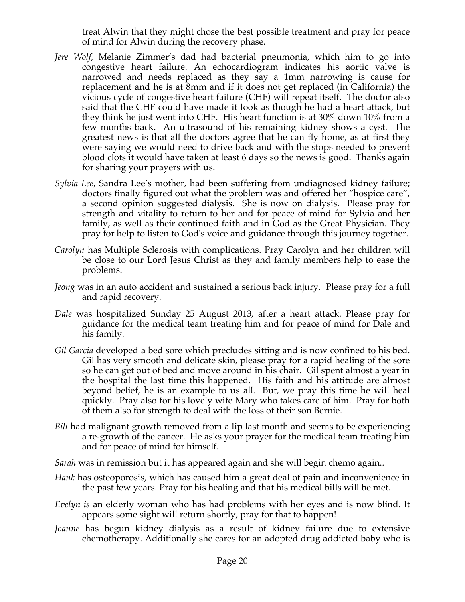treat Alwin that they might chose the best possible treatment and pray for peace of mind for Alwin during the recovery phase.

- *Jere Wolf*, Melanie Zimmer's dad had bacterial pneumonia, which him to go into congestive heart failure. An echocardiogram indicates his aortic valve is narrowed and needs replaced as they say a 1mm narrowing is cause for replacement and he is at 8mm and if it does not get replaced (in California) the vicious cycle of congestive heart failure (CHF) will repeat itself. The doctor also said that the CHF could have made it look as though he had a heart attack, but they think he just went into CHF. His heart function is at 30% down 10% from a few months back. An ultrasound of his remaining kidney shows a cyst. The greatest news is that all the doctors agree that he can fly home, as at first they were saying we would need to drive back and with the stops needed to prevent blood clots it would have taken at least 6 days so the news is good. Thanks again for sharing your prayers with us.
- *Sylvia Lee,* Sandra Lee's mother, had been suffering from undiagnosed kidney failure; doctors finally figured out what the problem was and offered her "hospice care", a second opinion suggested dialysis. She is now on dialysis. Please pray for strength and vitality to return to her and for peace of mind for Sylvia and her family, as well as their continued faith and in God as the Great Physician. They pray for help to listen to God's voice and guidance through this journey together.
- *Carolyn* has Multiple Sclerosis with complications. Pray Carolyn and her children will be close to our Lord Jesus Christ as they and family members help to ease the problems.
- *Jeong* was in an auto accident and sustained a serious back injury. Please pray for a full and rapid recovery.
- *Dale* was hospitalized Sunday 25 August 2013, after a heart attack. Please pray for guidance for the medical team treating him and for peace of mind for Dale and his family.
- *Gil Garcia* developed a bed sore which precludes sitting and is now confined to his bed. Gil has very smooth and delicate skin, please pray for a rapid healing of the sore so he can get out of bed and move around in his chair. Gil spent almost a year in the hospital the last time this happened. His faith and his attitude are almost beyond belief, he is an example to us all. But, we pray this time he will heal quickly. Pray also for his lovely wife Mary who takes care of him. Pray for both of them also for strength to deal with the loss of their son Bernie.
- *Bill* had malignant growth removed from a lip last month and seems to be experiencing a re-growth of the cancer. He asks your prayer for the medical team treating him and for peace of mind for himself.
- *Sarah* was in remission but it has appeared again and she will begin chemo again..
- *Hank* has osteoporosis, which has caused him a great deal of pain and inconvenience in the past few years. Pray for his healing and that his medical bills will be met.
- *Evelyn is* an elderly woman who has had problems with her eyes and is now blind. It appears some sight will return shortly, pray for that to happen!
- *Joanne* has begun kidney dialysis as a result of kidney failure due to extensive chemotherapy. Additionally she cares for an adopted drug addicted baby who is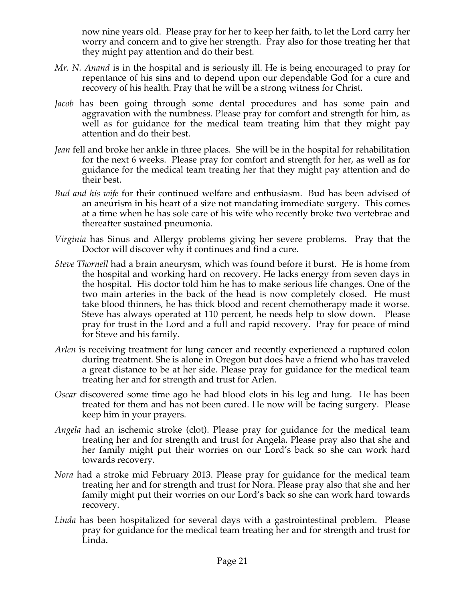now nine years old. Please pray for her to keep her faith, to let the Lord carry her worry and concern and to give her strength. Pray also for those treating her that they might pay attention and do their best.

- *Mr. N. Anand* is in the hospital and is seriously ill. He is being encouraged to pray for repentance of his sins and to depend upon our dependable God for a cure and recovery of his health. Pray that he will be a strong witness for Christ.
- *Jacob* has been going through some dental procedures and has some pain and aggravation with the numbness. Please pray for comfort and strength for him, as well as for guidance for the medical team treating him that they might pay attention and do their best.
- *Jean* fell and broke her ankle in three places. She will be in the hospital for rehabilitation for the next 6 weeks. Please pray for comfort and strength for her, as well as for guidance for the medical team treating her that they might pay attention and do their best.
- *Bud and his wife* for their continued welfare and enthusiasm. Bud has been advised of an aneurism in his heart of a size not mandating immediate surgery. This comes at a time when he has sole care of his wife who recently broke two vertebrae and thereafter sustained pneumonia.
- *Virginia* has Sinus and Allergy problems giving her severe problems. Pray that the Doctor will discover why it continues and find a cure.
- *Steve Thornell* had a brain aneurysm, which was found before it burst. He is home from the hospital and working hard on recovery. He lacks energy from seven days in the hospital. His doctor told him he has to make serious life changes. One of the two main arteries in the back of the head is now completely closed. He must take blood thinners, he has thick blood and recent chemotherapy made it worse. Steve has always operated at 110 percent, he needs help to slow down. Please pray for trust in the Lord and a full and rapid recovery. Pray for peace of mind for Steve and his family.
- *Arlen* is receiving treatment for lung cancer and recently experienced a ruptured colon during treatment. She is alone in Oregon but does have a friend who has traveled a great distance to be at her side. Please pray for guidance for the medical team treating her and for strength and trust for Arlen.
- *Oscar* discovered some time ago he had blood clots in his leg and lung. He has been treated for them and has not been cured. He now will be facing surgery. Please keep him in your prayers.
- *Angela* had an ischemic stroke (clot). Please pray for guidance for the medical team treating her and for strength and trust for Angela. Please pray also that she and her family might put their worries on our Lord's back so she can work hard towards recovery.
- *Nora* had a stroke mid February 2013. Please pray for guidance for the medical team treating her and for strength and trust for Nora. Please pray also that she and her family might put their worries on our Lord's back so she can work hard towards recovery.
- *Linda* has been hospitalized for several days with a gastrointestinal problem. Please pray for guidance for the medical team treating her and for strength and trust for Linda.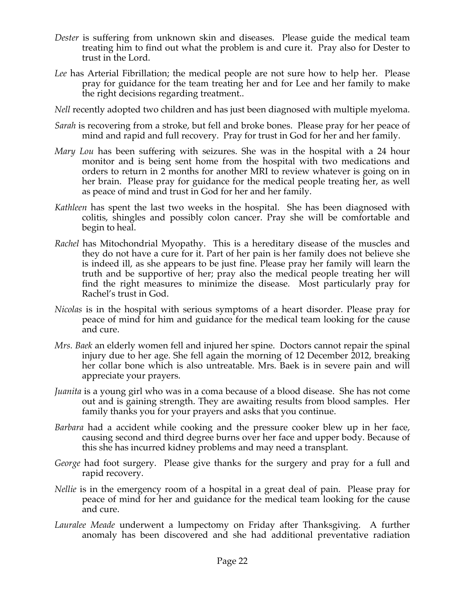- *Dester* is suffering from unknown skin and diseases. Please guide the medical team treating him to find out what the problem is and cure it. Pray also for Dester to trust in the Lord.
- *Lee* has Arterial Fibrillation; the medical people are not sure how to help her. Please pray for guidance for the team treating her and for Lee and her family to make the right decisions regarding treatment..
- *Nell* recently adopted two children and has just been diagnosed with multiple myeloma.
- *Sarah* is recovering from a stroke, but fell and broke bones. Please pray for her peace of mind and rapid and full recovery. Pray for trust in God for her and her family.
- *Mary Lou* has been suffering with seizures. She was in the hospital with a 24 hour monitor and is being sent home from the hospital with two medications and orders to return in 2 months for another MRI to review whatever is going on in her brain. Please pray for guidance for the medical people treating her, as well as peace of mind and trust in God for her and her family.
- *Kathleen* has spent the last two weeks in the hospital. She has been diagnosed with colitis, shingles and possibly colon cancer. Pray she will be comfortable and begin to heal.
- *Rachel* has Mitochondrial Myopathy. This is a hereditary disease of the muscles and they do not have a cure for it. Part of her pain is her family does not believe she is indeed ill, as she appears to be just fine. Please pray her family will learn the truth and be supportive of her; pray also the medical people treating her will find the right measures to minimize the disease. Most particularly pray for Rachel's trust in God.
- *Nicolas* is in the hospital with serious symptoms of a heart disorder. Please pray for peace of mind for him and guidance for the medical team looking for the cause and cure.
- *Mrs. Baek* an elderly women fell and injured her spine. Doctors cannot repair the spinal injury due to her age. She fell again the morning of 12 December 2012, breaking her collar bone which is also untreatable. Mrs. Baek is in severe pain and will appreciate your prayers.
- *Juanita* is a young girl who was in a coma because of a blood disease. She has not come out and is gaining strength. They are awaiting results from blood samples. Her family thanks you for your prayers and asks that you continue.
- *Barbara* had a accident while cooking and the pressure cooker blew up in her face, causing second and third degree burns over her face and upper body. Because of this she has incurred kidney problems and may need a transplant.
- *George* had foot surgery. Please give thanks for the surgery and pray for a full and rapid recovery.
- *Nellie* is in the emergency room of a hospital in a great deal of pain. Please pray for peace of mind for her and guidance for the medical team looking for the cause and cure.
- *Lauralee Meade* underwent a lumpectomy on Friday after Thanksgiving. A further anomaly has been discovered and she had additional preventative radiation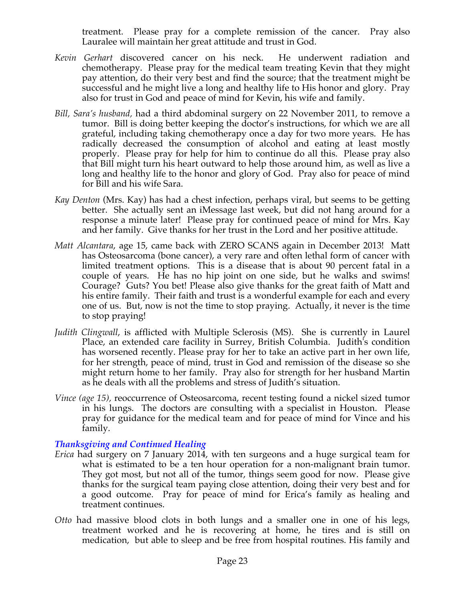treatment. Please pray for a complete remission of the cancer. Pray also Lauralee will maintain her great attitude and trust in God.

- *Kevin Gerhart* discovered cancer on his neck. He underwent radiation and chemotherapy. Please pray for the medical team treating Kevin that they might pay attention, do their very best and find the source; that the treatment might be successful and he might live a long and healthy life to His honor and glory. Pray also for trust in God and peace of mind for Kevin, his wife and family.
- *Bill, Sara's husband,* had a third abdominal surgery on 22 November 2011, to remove a tumor. Bill is doing better keeping the doctor's instructions, for which we are all grateful, including taking chemotherapy once a day for two more years. He has radically decreased the consumption of alcohol and eating at least mostly properly. Please pray for help for him to continue do all this. Please pray also that Bill might turn his heart outward to help those around him, as well as live a long and healthy life to the honor and glory of God. Pray also for peace of mind for Bill and his wife Sara.
- *Kay Denton* (Mrs. Kay) has had a chest infection, perhaps viral, but seems to be getting better. She actually sent an iMessage last week, but did not hang around for a response a minute later! Please pray for continued peace of mind for Mrs. Kay and her family. Give thanks for her trust in the Lord and her positive attitude.
- *Matt Alcantara*, age 15, came back with ZERO SCANS again in December 2013! Matt has Osteosarcoma (bone cancer), a very rare and often lethal form of cancer with limited treatment options. This is a disease that is about 90 percent fatal in a couple of years. He has no hip joint on one side, but he walks and swims! Courage? Guts? You bet! Please also give thanks for the great faith of Matt and his entire family. Their faith and trust is a wonderful example for each and every one of us. But, now is not the time to stop praying. Actually, it never is the time to stop praying!
- *Judith Clingwall*, is afflicted with Multiple Sclerosis (MS). She is currently in Laurel Place, an extended care facility in Surrey, British Columbia. Judith's condition has worsened recently. Please pray for her to take an active part in her own life, for her strength, peace of mind, trust in God and remission of the disease so she might return home to her family. Pray also for strength for her husband Martin as he deals with all the problems and stress of Judith's situation.
- *Vince (age 15),* reoccurrence of Osteosarcoma, recent testing found a nickel sized tumor in his lungs. The doctors are consulting with a specialist in Houston. Please pray for guidance for the medical team and for peace of mind for Vince and his family.

#### *Thanksgiving and Continued Healing*

- *Erica* had surgery on 7 January 2014, with ten surgeons and a huge surgical team for what is estimated to be a ten hour operation for a non-malignant brain tumor. They got most, but not all of the tumor, things seem good for now. Please give thanks for the surgical team paying close attention, doing their very best and for a good outcome. Pray for peace of mind for Erica's family as healing and treatment continues.
- *Otto* had massive blood clots in both lungs and a smaller one in one of his legs, treatment worked and he is recovering at home, he tires and is still on medication, but able to sleep and be free from hospital routines. His family and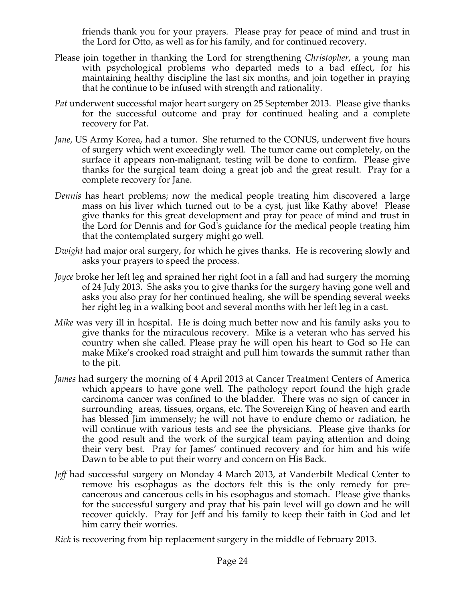friends thank you for your prayers. Please pray for peace of mind and trust in the Lord for Otto, as well as for his family, and for continued recovery.

- Please join together in thanking the Lord for strengthening *Christopher*, a young man with psychological problems who departed meds to a bad effect, for his maintaining healthy discipline the last six months, and join together in praying that he continue to be infused with strength and rationality.
- *Pat* underwent successful major heart surgery on 25 September 2013. Please give thanks for the successful outcome and pray for continued healing and a complete recovery for Pat.
- *Jane*, US Army Korea, had a tumor. She returned to the CONUS, underwent five hours of surgery which went exceedingly well. The tumor came out completely, on the surface it appears non-malignant, testing will be done to confirm. Please give thanks for the surgical team doing a great job and the great result. Pray for a complete recovery for Jane.
- *Dennis* has heart problems; now the medical people treating him discovered a large mass on his liver which turned out to be a cyst, just like Kathy above! Please give thanks for this great development and pray for peace of mind and trust in the Lord for Dennis and for God's guidance for the medical people treating him that the contemplated surgery might go well.
- *Dwight* had major oral surgery, for which he gives thanks. He is recovering slowly and asks your prayers to speed the process.
- *Joyce* broke her left leg and sprained her right foot in a fall and had surgery the morning of 24 July 2013. She asks you to give thanks for the surgery having gone well and asks you also pray for her continued healing, she will be spending several weeks her right leg in a walking boot and several months with her left leg in a cast.
- *Mike* was very ill in hospital. He is doing much better now and his family asks you to give thanks for the miraculous recovery. Mike is a veteran who has served his country when she called. Please pray he will open his heart to God so He can make Mike's crooked road straight and pull him towards the summit rather than to the pit.
- *James* had surgery the morning of 4 April 2013 at Cancer Treatment Centers of America which appears to have gone well. The pathology report found the high grade carcinoma cancer was confined to the bladder. There was no sign of cancer in surrounding areas, tissues, organs, etc. The Sovereign King of heaven and earth has blessed Jim immensely; he will not have to endure chemo or radiation, he will continue with various tests and see the physicians. Please give thanks for the good result and the work of the surgical team paying attention and doing their very best. Pray for James' continued recovery and for him and his wife Dawn to be able to put their worry and concern on His Back.
- *Jeff* had successful surgery on Monday 4 March 2013, at Vanderbilt Medical Center to remove his esophagus as the doctors felt this is the only remedy for precancerous and cancerous cells in his esophagus and stomach. Please give thanks for the successful surgery and pray that his pain level will go down and he will recover quickly. Pray for Jeff and his family to keep their faith in God and let him carry their worries.

*Rick* is recovering from hip replacement surgery in the middle of February 2013.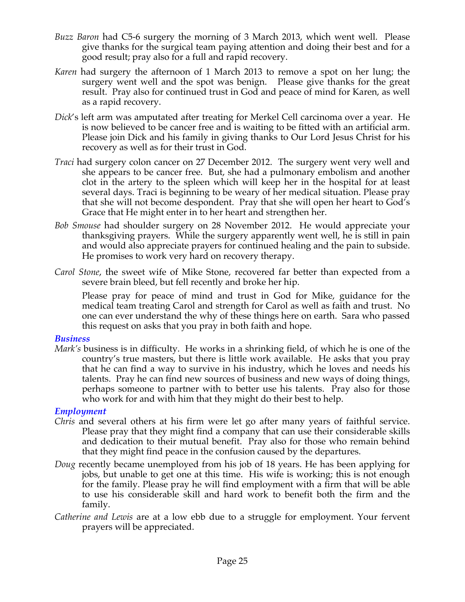- *Buzz Baron* had C5-6 surgery the morning of 3 March 2013, which went well. Please give thanks for the surgical team paying attention and doing their best and for a good result; pray also for a full and rapid recovery.
- *Karen* had surgery the afternoon of 1 March 2013 to remove a spot on her lung; the surgery went well and the spot was benign. Please give thanks for the great result. Pray also for continued trust in God and peace of mind for Karen, as well as a rapid recovery.
- *Dick*'s left arm was amputated after treating for Merkel Cell carcinoma over a year. He is now believed to be cancer free and is waiting to be fitted with an artificial arm. Please join Dick and his family in giving thanks to Our Lord Jesus Christ for his recovery as well as for their trust in God.
- *Traci* had surgery colon cancer on 27 December 2012. The surgery went very well and she appears to be cancer free. But, she had a pulmonary embolism and another clot in the artery to the spleen which will keep her in the hospital for at least several days. Traci is beginning to be weary of her medical situation. Please pray that she will not become despondent. Pray that she will open her heart to God's Grace that He might enter in to her heart and strengthen her.
- *Bob Smouse* had shoulder surgery on 28 November 2012. He would appreciate your thanksgiving prayers. While the surgery apparently went well, he is still in pain and would also appreciate prayers for continued healing and the pain to subside. He promises to work very hard on recovery therapy.
- *Carol Stone*, the sweet wife of Mike Stone, recovered far better than expected from a severe brain bleed, but fell recently and broke her hip.

Please pray for peace of mind and trust in God for Mike, guidance for the medical team treating Carol and strength for Carol as well as faith and trust. No one can ever understand the why of these things here on earth. Sara who passed this request on asks that you pray in both faith and hope.

#### *Business*

*Mark's* business is in difficulty. He works in a shrinking field, of which he is one of the country's true masters, but there is little work available. He asks that you pray that he can find a way to survive in his industry, which he loves and needs his talents. Pray he can find new sources of business and new ways of doing things, perhaps someone to partner with to better use his talents. Pray also for those who work for and with him that they might do their best to help.

# *Employment*

- *Chris* and several others at his firm were let go after many years of faithful service. Please pray that they might find a company that can use their considerable skills and dedication to their mutual benefit. Pray also for those who remain behind that they might find peace in the confusion caused by the departures.
- *Doug* recently became unemployed from his job of 18 years. He has been applying for jobs, but unable to get one at this time. His wife is working; this is not enough for the family. Please pray he will find employment with a firm that will be able to use his considerable skill and hard work to benefit both the firm and the family.
- *Catherine and Lewis* are at a low ebb due to a struggle for employment. Your fervent prayers will be appreciated.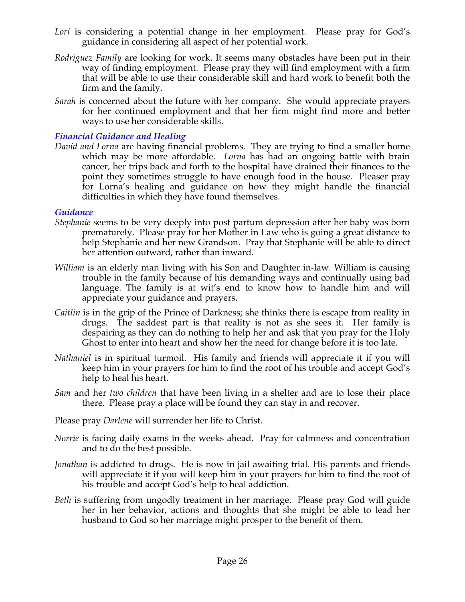- Lori is considering a potential change in her employment. Please pray for God's guidance in considering all aspect of her potential work.
- *Rodriguez Family* are looking for work. It seems many obstacles have been put in their way of finding employment. Please pray they will find employment with a firm that will be able to use their considerable skill and hard work to benefit both the firm and the family.
- *Sarah* is concerned about the future with her company. She would appreciate prayers for her continued employment and that her firm might find more and better ways to use her considerable skills.

### *Financial Guidance and Healing*

*David and Lorna* are having financial problems. They are trying to find a smaller home which may be more affordable. *Lorna* has had an ongoing battle with brain cancer, her trips back and forth to the hospital have drained their finances to the point they sometimes struggle to have enough food in the house. Pleaser pray for Lorna's healing and guidance on how they might handle the financial difficulties in which they have found themselves.

#### *Guidance*

- *Stephanie* seems to be very deeply into post partum depression after her baby was born prematurely. Please pray for her Mother in Law who is going a great distance to help Stephanie and her new Grandson. Pray that Stephanie will be able to direct her attention outward, rather than inward.
- *William* is an elderly man living with his Son and Daughter in-law. William is causing trouble in the family because of his demanding ways and continually using bad language. The family is at wit's end to know how to handle him and will appreciate your guidance and prayers.
- *Caitlin* is in the grip of the Prince of Darkness; she thinks there is escape from reality in drugs. The saddest part is that reality is not as she sees it. Her family is despairing as they can do nothing to help her and ask that you pray for the Holy Ghost to enter into heart and show her the need for change before it is too late.
- *Nathaniel* is in spiritual turmoil. His family and friends will appreciate it if you will keep him in your prayers for him to find the root of his trouble and accept God's help to heal his heart.
- *Sam* and her *two children* that have been living in a shelter and are to lose their place there. Please pray a place will be found they can stay in and recover.
- Please pray *Darlene* will surrender her life to Christ.
- *Norrie* is facing daily exams in the weeks ahead. Pray for calmness and concentration and to do the best possible.
- *Jonathan* is addicted to drugs. He is now in jail awaiting trial. His parents and friends will appreciate it if you will keep him in your prayers for him to find the root of his trouble and accept God's help to heal addiction.
- *Beth* is suffering from ungodly treatment in her marriage. Please pray God will guide her in her behavior, actions and thoughts that she might be able to lead her husband to God so her marriage might prosper to the benefit of them.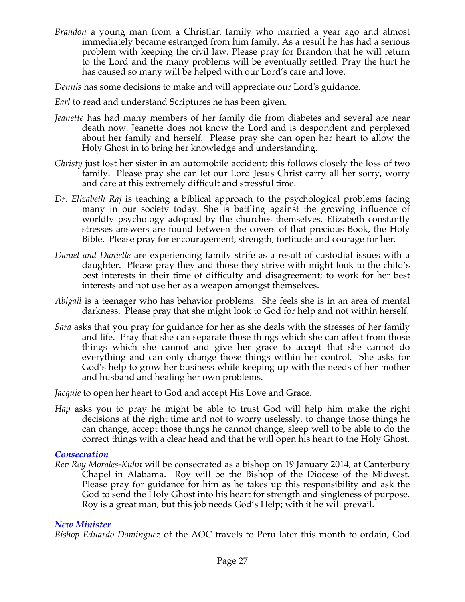*Brandon* a young man from a Christian family who married a year ago and almost immediately became estranged from him family. As a result he has had a serious problem with keeping the civil law. Please pray for Brandon that he will return to the Lord and the many problems will be eventually settled. Pray the hurt he has caused so many will be helped with our Lord's care and love.

*Dennis* has some decisions to make and will appreciate our Lord's guidance.

- *Earl* to read and understand Scriptures he has been given.
- *Jeanette* has had many members of her family die from diabetes and several are near death now. Jeanette does not know the Lord and is despondent and perplexed about her family and herself. Please pray she can open her heart to allow the Holy Ghost in to bring her knowledge and understanding.
- *Christy* just lost her sister in an automobile accident; this follows closely the loss of two family. Please pray she can let our Lord Jesus Christ carry all her sorry, worry and care at this extremely difficult and stressful time.
- *Dr. Elizabeth Raj* is teaching a biblical approach to the psychological problems facing many in our society today. She is battling against the growing influence of worldly psychology adopted by the churches themselves. Elizabeth constantly stresses answers are found between the covers of that precious Book, the Holy Bible. Please pray for encouragement, strength, fortitude and courage for her.
- *Daniel and Danielle* are experiencing family strife as a result of custodial issues with a daughter. Please pray they and those they strive with might look to the child's best interests in their time of difficulty and disagreement; to work for her best interests and not use her as a weapon amongst themselves.
- *Abigail* is a teenager who has behavior problems. She feels she is in an area of mental darkness. Please pray that she might look to God for help and not within herself.
- *Sara* asks that you pray for guidance for her as she deals with the stresses of her family and life. Pray that she can separate those things which she can affect from those things which she cannot and give her grace to accept that she cannot do everything and can only change those things within her control. She asks for God's help to grow her business while keeping up with the needs of her mother and husband and healing her own problems.

*Jacquie* to open her heart to God and accept His Love and Grace.

*Hap* asks you to pray he might be able to trust God will help him make the right decisions at the right time and not to worry uselessly, to change those things he can change, accept those things he cannot change, sleep well to be able to do the correct things with a clear head and that he will open his heart to the Holy Ghost.

# *Consecration*

*Rev Roy Morales-Kuhn* will be consecrated as a bishop on 19 January 2014, at Canterbury Chapel in Alabama. Roy will be the Bishop of the Diocese of the Midwest. Please pray for guidance for him as he takes up this responsibility and ask the God to send the Holy Ghost into his heart for strength and singleness of purpose. Roy is a great man, but this job needs God's Help; with it he will prevail.

# *New Minister*

*Bishop Eduardo Dominguez* of the AOC travels to Peru later this month to ordain, God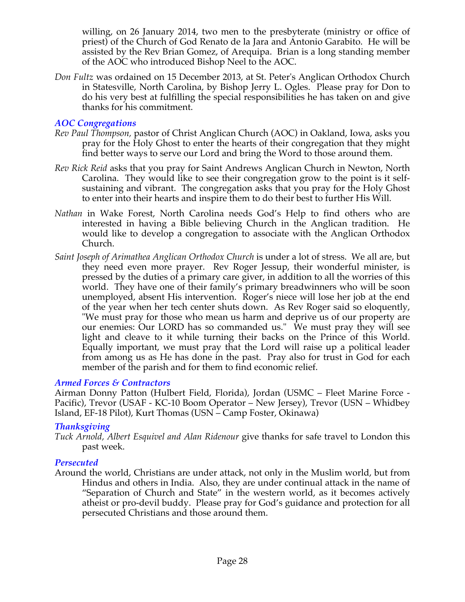willing, on 26 January 2014, two men to the presbyterate (ministry or office of priest) of the Church of God Renato de la Jara and Antonio Garabito. He will be assisted by the Rev Brian Gomez, of Arequipa. Brian is a long standing member of the AOC who introduced Bishop Neel to the AOC.

*Don Fultz* was ordained on 15 December 2013, at St. Peter's Anglican Orthodox Church in Statesville, North Carolina, by Bishop Jerry L. Ogles. Please pray for Don to do his very best at fulfilling the special responsibilities he has taken on and give thanks for his commitment.

### *AOC Congregations*

- *Rev Paul Thompson,* pastor of Christ Anglican Church (AOC) in Oakland, Iowa, asks you pray for the Holy Ghost to enter the hearts of their congregation that they might find better ways to serve our Lord and bring the Word to those around them.
- *Rev Rick Reid* asks that you pray for Saint Andrews Anglican Church in Newton, North Carolina. They would like to see their congregation grow to the point is it selfsustaining and vibrant. The congregation asks that you pray for the Holy Ghost to enter into their hearts and inspire them to do their best to further His Will.
- *Nathan* in Wake Forest, North Carolina needs God's Help to find others who are interested in having a Bible believing Church in the Anglican tradition. He would like to develop a congregation to associate with the Anglican Orthodox Church.
- *Saint Joseph of Arimathea Anglican Orthodox Church* is under a lot of stress. We all are, but they need even more prayer. Rev Roger Jessup, their wonderful minister, is pressed by the duties of a primary care giver, in addition to all the worries of this world. They have one of their family's primary breadwinners who will be soon unemployed, absent His intervention. Roger's niece will lose her job at the end of the year when her tech center shuts down. As Rev Roger said so eloquently, "We must pray for those who mean us harm and deprive us of our property are our enemies: Our LORD has so commanded us." We must pray they will see light and cleave to it while turning their backs on the Prince of this World. Equally important, we must pray that the Lord will raise up a political leader from among us as He has done in the past. Pray also for trust in God for each member of the parish and for them to find economic relief.

# *Armed Forces & Contractors*

Airman Donny Patton (Hulbert Field, Florida), Jordan (USMC – Fleet Marine Force - Pacific), Trevor (USAF - KC-10 Boom Operator – New Jersey), Trevor (USN – Whidbey Island, EF-18 Pilot), Kurt Thomas (USN – Camp Foster, Okinawa)

#### *Thanksgiving*

*Tuck Arnold, Albert Esquivel and Alan Ridenour* give thanks for safe travel to London this past week.

# *Persecuted*

Around the world, Christians are under attack, not only in the Muslim world, but from Hindus and others in India. Also, they are under continual attack in the name of "Separation of Church and State" in the western world, as it becomes actively atheist or pro-devil buddy. Please pray for God's guidance and protection for all persecuted Christians and those around them.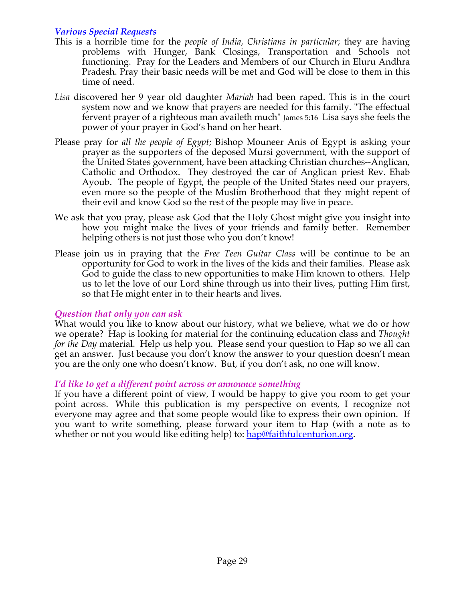# *Various Special Requests*

- This is a horrible time for the *people of India, Christians in particular*; they are having problems with Hunger, Bank Closings, Transportation and Schools not functioning. Pray for the Leaders and Members of our Church in Eluru Andhra Pradesh. Pray their basic needs will be met and God will be close to them in this time of need.
- *Lisa* discovered her 9 year old daughter *Mariah* had been raped. This is in the court system now and we know that prayers are needed for this family. "The effectual fervent prayer of a righteous man availeth much" James 5:16 Lisa says she feels the power of your prayer in God's hand on her heart.
- Please pray for *all the people of Egypt*; Bishop Mouneer Anis of Egypt is asking your prayer as the supporters of the deposed Mursi government, with the support of the United States government, have been attacking Christian churches--Anglican, Catholic and Orthodox. They destroyed the car of Anglican priest Rev. Ehab Ayoub. The people of Egypt, the people of the United States need our prayers, even more so the people of the Muslim Brotherhood that they might repent of their evil and know God so the rest of the people may live in peace.
- We ask that you pray, please ask God that the Holy Ghost might give you insight into how you might make the lives of your friends and family better. Remember helping others is not just those who you don't know!
- Please join us in praying that the *Free Teen Guitar Class* will be continue to be an opportunity for God to work in the lives of the kids and their families. Please ask God to guide the class to new opportunities to make Him known to others. Help us to let the love of our Lord shine through us into their lives, putting Him first, so that He might enter in to their hearts and lives.

#### *Question that only you can ask*

What would you like to know about our history, what we believe, what we do or how we operate? Hap is looking for material for the continuing education class and *Thought for the Day* material. Help us help you. Please send your question to Hap so we all can get an answer. Just because you don't know the answer to your question doesn't mean you are the only one who doesn't know. But, if you don't ask, no one will know.

#### *I'd like to get a different point across or announce something*

If you have a different point of view, I would be happy to give you room to get your point across. While this publication is my perspective on events, I recognize not everyone may agree and that some people would like to express their own opinion. If you want to write something, please forward your item to Hap (with a note as to whether or not you would like editing help) to: hap@faithfulcenturion.org.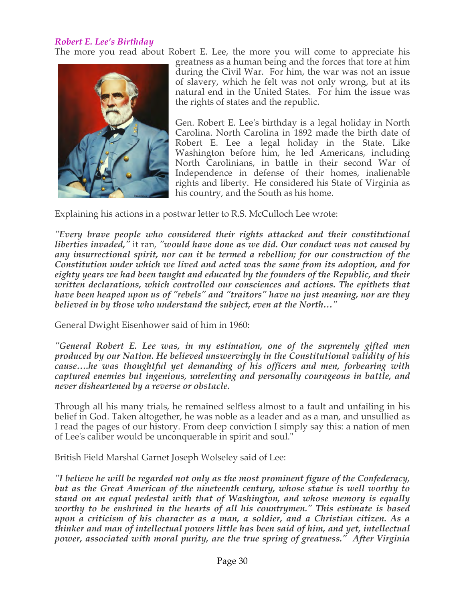### *Robert E. Lee's Birthday*

The more you read about Robert E. Lee, the more you will come to appreciate his



greatness as a human being and the forces that tore at him during the Civil War. For him, the war was not an issue of slavery, which he felt was not only wrong, but at its natural end in the United States. For him the issue was the rights of states and the republic.

Gen. Robert E. Lee's birthday is a legal holiday in North Carolina. North Carolina in 1892 made the birth date of Robert E. Lee a legal holiday in the State. Like Washington before him, he led Americans, including North Carolinians, in battle in their second War of Independence in defense of their homes, inalienable rights and liberty. He considered his State of Virginia as his country, and the South as his home.

Explaining his actions in a postwar letter to R.S. McCulloch Lee wrote:

*"Every brave people who considered their rights attacked and their constitutional liberties invaded,"* it ran, *"would have done as we did. Our conduct was not caused by any insurrectional spirit, nor can it be termed a rebellion; for our construction of the Constitution under which we lived and acted was the same from its adoption, and for eighty years we had been taught and educated by the founders of the Republic, and their written declarations, which controlled our consciences and actions. The epithets that have been heaped upon us of "rebels" and "traitors" have no just meaning, nor are they believed in by those who understand the subject, even at the North…"*

General Dwight Eisenhower said of him in 1960:

*"General Robert E. Lee was, in my estimation, one of the supremely gifted men produced by our Nation. He believed unswervingly in the Constitutional validity of his cause….he was thoughtful yet demanding of his officers and men, forbearing with captured enemies but ingenious, unrelenting and personally courageous in battle, and never disheartened by a reverse or obstacle.*

Through all his many trials, he remained selfless almost to a fault and unfailing in his belief in God. Taken altogether, he was noble as a leader and as a man, and unsullied as I read the pages of our history. From deep conviction I simply say this: a nation of men of Lee's caliber would be unconquerable in spirit and soul."

British Field Marshal Garnet Joseph Wolseley said of Lee:

*"I believe he will be regarded not only as the most prominent figure of the Confederacy, but as the Great American of the nineteenth century, whose statue is well worthy to stand on an equal pedestal with that of Washington, and whose memory is equally worthy to be enshrined in the hearts of all his countrymen." This estimate is based upon a criticism of his character as a man, a soldier, and a Christian citizen. As a thinker and man of intellectual powers little has been said of him, and yet, intellectual power, associated with moral purity, are the true spring of greatness." After Virginia*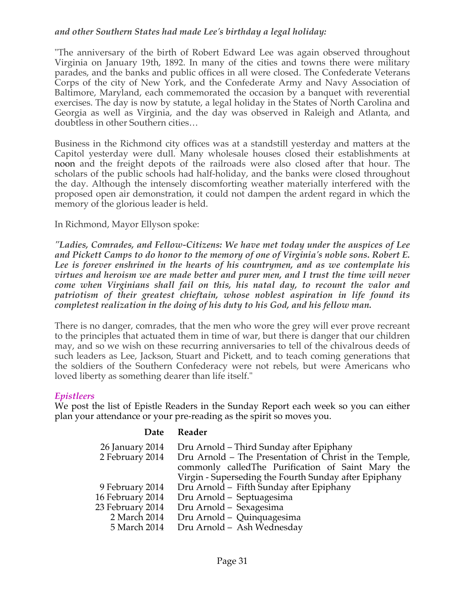### *and other Southern States had made Lee's birthday a legal holiday:*

"The anniversary of the birth of Robert Edward Lee was again observed throughout Virginia on January 19th, 1892. In many of the cities and towns there were military parades, and the banks and public offices in all were closed. The Confederate Veterans Corps of the city of New York, and the Confederate Army and Navy Association of Baltimore, Maryland, each commemorated the occasion by a banquet with reverential exercises. The day is now by statute, a legal holiday in the States of North Carolina and Georgia as well as Virginia, and the day was observed in Raleigh and Atlanta, and doubtless in other Southern cities…

Business in the Richmond city offices was at a standstill yesterday and matters at the Capitol yesterday were dull. Many wholesale houses closed their establishments at noon and the freight depots of the railroads were also closed after that hour. The scholars of the public schools had half-holiday, and the banks were closed throughout the day. Although the intensely discomforting weather materially interfered with the proposed open air demonstration, it could not dampen the ardent regard in which the memory of the glorious leader is held.

### In Richmond, Mayor Ellyson spoke:

*"Ladies, Comrades, and Fellow-Citizens: We have met today under the auspices of Lee and Pickett Camps to do honor to the memory of one of Virginia's noble sons. Robert E. Lee is forever enshrined in the hearts of his countrymen, and as we contemplate his virtues and heroism we are made better and purer men, and I trust the time will never come when Virginians shall fail on this, his natal day, to recount the valor and patriotism of their greatest chieftain, whose noblest aspiration in life found its completest realization in the doing of his duty to his God, and his fellow man.*

There is no danger, comrades, that the men who wore the grey will ever prove recreant to the principles that actuated them in time of war, but there is danger that our children may, and so we wish on these recurring anniversaries to tell of the chivalrous deeds of such leaders as Lee, Jackson, Stuart and Pickett, and to teach coming generations that the soldiers of the Southern Confederacy were not rebels, but were Americans who loved liberty as something dearer than life itself."

#### *Epistleers*

We post the list of Epistle Readers in the Sunday Report each week so you can either plan your attendance or your pre-reading as the spirit so moves you.

#### **Date Reader**

| 26 January 2014<br>2 February 2014 | Dru Arnold - Third Sunday after Epiphany<br>Dru Arnold – The Presentation of Christ in the Temple,<br>commonly called The Purification of Saint Mary the<br>Virgin - Superseding the Fourth Sunday after Epiphany |
|------------------------------------|-------------------------------------------------------------------------------------------------------------------------------------------------------------------------------------------------------------------|
| 9 February 2014                    | Dru Arnold - Fifth Sunday after Epiphany                                                                                                                                                                          |
| 16 February 2014                   | Dru Arnold - Septuagesima                                                                                                                                                                                         |
| 23 February 2014                   | Dru Arnold - Sexagesima                                                                                                                                                                                           |
| 2 March 2014                       | Dru Arnold - Quinquagesima                                                                                                                                                                                        |
| 5 March 2014                       | Dru Arnold - Ash Wednesday                                                                                                                                                                                        |